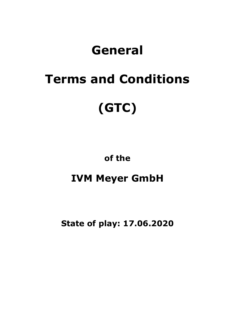## **General**

# **Terms and Conditions (GTC)**

**of the**

### **IVM Meyer GmbH**

**State of play: 17.06.2020**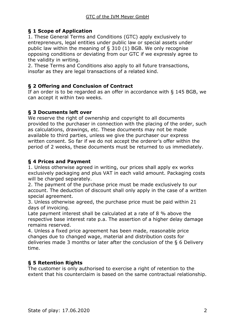#### **§ 1 Scope of Application**

1. These General Terms and Conditions (GTC) apply exclusively to entrepreneurs, legal entities under public law or special assets under public law within the meaning of § 310 (1) BGB. We only recognise opposing conditions or deviating from our GTC if we expressly agree to the validity in writing.

2. These Terms and Conditions also apply to all future transactions, insofar as they are legal transactions of a related kind.

#### **§ 2 Offering and Conclusion of Contract**

If an order is to be regarded as an offer in accordance with § 145 BGB, we can accept it within two weeks.

#### **§ 3 Documents left over**

We reserve the right of ownership and copyright to all documents provided to the purchaser in connection with the placing of the order, such as calculations, drawings, etc. These documents may not be made available to third parties, unless we give the purchaser our express written consent. So far if we do not accept the orderer's offer within the period of 2 weeks, these documents must be returned to us immediately.

#### **§ 4 Prices and Payment**

1. Unless otherwise agreed in writing, our prices shall apply ex works exclusively packaging and plus VAT in each valid amount. Packaging costs will be charged separately.

2. The payment of the purchase price must be made exclusively to our account. The deduction of discount shall only apply in the case of a written special agreement.

3. Unless otherwise agreed, the purchase price must be paid within 21 days of invoicing.

Late payment interest shall be calculated at a rate of 8 % above the respective base interest rate p.a. The assertion of a higher delay damage remains reserved.

4. Unless a fixed price agreement has been made, reasonable price changes due to changed wage, material and distribution costs for deliveries made 3 months or later after the conclusion of the § 6 Delivery time.

#### **§ 5 Retention Rights**

The customer is only authorised to exercise a right of retention to the extent that his counterclaim is based on the same contractual relationship.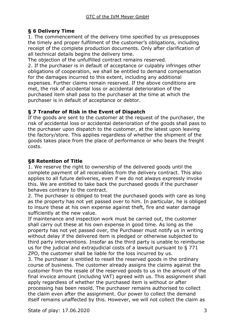#### **§ 6 Delivery Time**

1. The commencement of the delivery time specified by us presupposes the timely and proper fulfilment of the customer's obligations, including receipt of the complete production documents. Only after clarification of all technical details begins the delivery time.

The objection of the unfulfilled contract remains reserved.

2. If the purchaser is in default of acceptance or culpably infringes other obligations of cooperation, we shall be entitled to demand compensation for the damages incurred to this extent, including any additional expenses. Further claims remain reserved. If the above conditions are met, the risk of accidental loss or accidental deterioration of the purchased item shall pass to the purchaser at the time at which the purchaser is in default of acceptance or debtor.

#### **§ 7 Transfer of Risk in the Event of Dispatch**

If the goods are sent to the customer at the request of the purchaser, the risk of accidental loss or accidental deterioration of the goods shall pass to the purchaser upon dispatch to the customer, at the latest upon leaving the factory/store. This applies regardless of whether the shipment of the goods takes place from the place of performance or who bears the freight costs.

#### **§8 Retention of Title**

1. We reserve the right to ownership of the delivered goods until the complete payment of all receivables from the delivery contract. This also applies to all future deliveries, even if we do not always expressly invoke this. We are entitled to take back the purchased goods if the purchaser behaves contrary to the contract.

2. The purchaser is obliged to treat the purchased goods with care as long as the property has not yet passed over to him. In particular, he is obliged to insure these at his own expense against theft, fire and water damage sufficiently at the new value.

If maintenance and inspection work must be carried out, the customer shall carry out these at his own expense in good time. As long as the property has not yet passed over, the Purchaser must notify us in writing without delay if the delivered item is pledged or otherwise subjected to third party interventions. Insofar as the third party is unable to reimburse us for the judicial and extrajudicial costs of a lawsuit pursuant to § 771 ZPO, the customer shall be liable for the loss incurred by us.

3. The purchaser is entitled to resell the reserved goods in the ordinary course of business. The customer already assigns the claims against the customer from the resale of the reserved goods to us in the amount of the final invoice amount (including VAT) agreed with us. This assignment shall apply regardless of whether the purchased item is without or after processing has been resold. The purchaser remains authorised to collect the claim even after the assignment. Our power to collect the demand itself remains unaffected by this. However, we will not collect the claim as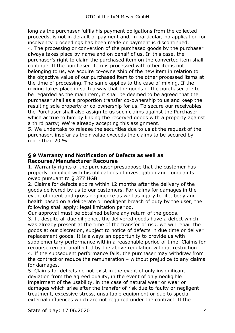long as the purchaser fulfils his payment obligations from the collected proceeds, is not in default of payment and, in particular, no application for insolvency proceedings has been made or payment is discontinued. 4. The processing or conversion of the purchased goods by the purchaser always takes place by name and on behalf of us. In this case, the purchaser's right to claim the purchased item on the converted item shall continue. If the purchased item is processed with other items not belonging to us, we acquire co-ownership of the new item in relation to the objective value of our purchased item to the other processed items at the time of processing. The same applies to the case of mixing. If the mixing takes place in such a way that the goods of the purchaser are to be regarded as the main item, it shall be deemed to be agreed that the purchaser shall as a proportion transfer co-ownership to us and keep the resulting sole property or co-ownership for us. To secure our receivables the Purchaser shall also assign to us such claims against the Purchaser which accrue to him by linking the reserved goods with a property against a third party; We're already accepting this assignment.

5. We undertake to release the securities due to us at the request of the purchaser, insofar as their value exceeds the claims to be secured by more than 20 %.

#### **§ 9 Warranty and Notification of Defects as well as Recourse/Manufacturer Recourse**

1. Warranty rights of the purchaser presuppose that the customer has properly complied with his obligations of investigation and complaints owed pursuant to § 377 HGB.

2. Claims for defects expire within 12 months after the delivery of the goods delivered by us to our customers. For claims for damages in the event of intent and gross negligence as well as injury to life, body and health based on a deliberate or negligent breach of duty by the user, the following shall apply: legal limitation period.

Our approval must be obtained before any return of the goods.

3. If, despite all due diligence, the delivered goods have a defect which was already present at the time of the transfer of risk, we will repair the goods at our discretion, subject to notice of defects in due time or deliver replacement goods. It is always an opportunity to provide us with supplementary performance within a reasonable period of time. Claims for recourse remain unaffected by the above regulation without restriction. 4. If the subsequent performance fails, the purchaser may withdraw from the contract or reduce the remuneration – without prejudice to any claims for damages.

5. Claims for defects do not exist in the event of only insignificant deviation from the agreed quality, in the event of only negligible impairment of the usability, in the case of natural wear or wear or damages which arise after the transfer of risk due to faulty or negligent treatment, excessive stress, unsuitable equipment or due to special external influences which are not required under the contract. If the